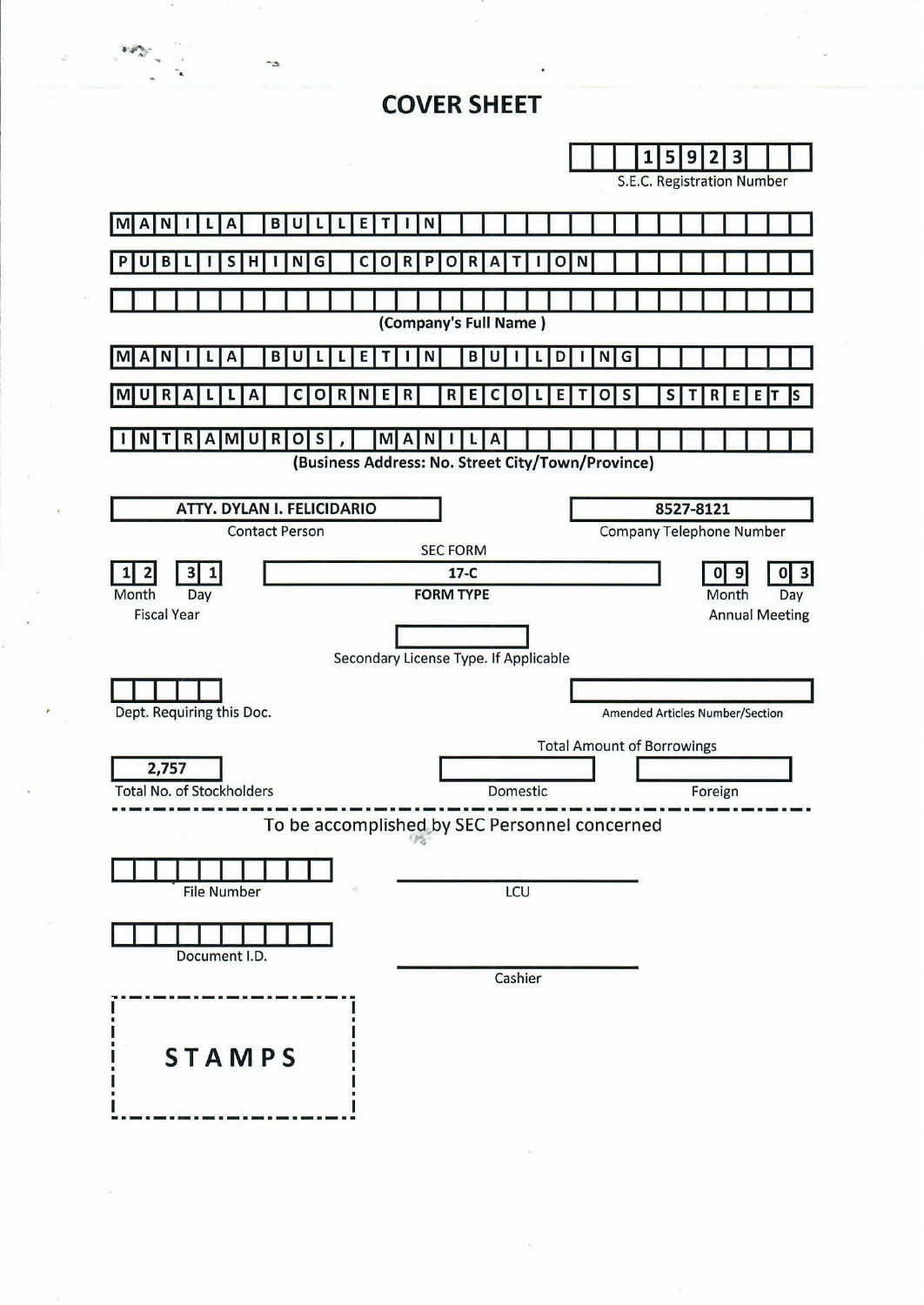# **COVER SHEET**



 $\mathcal{U} \neq \mathcal{U}$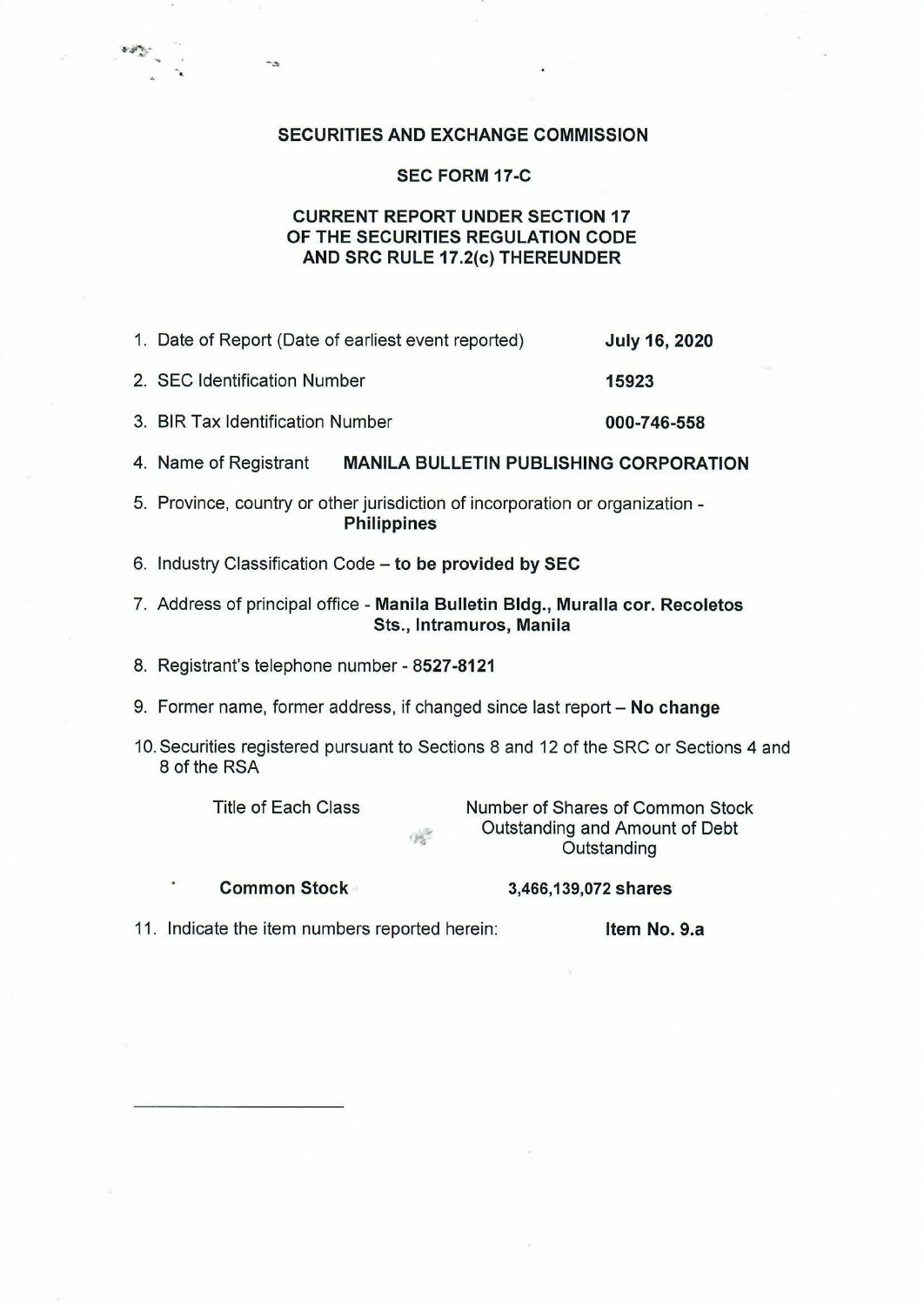### SECURITIES AND EXCHANGE COMMISSION

#### SEC FORM 17-C

# CURRENT REPORT UNDER SECTION 17 OF THE SECURITIES REGULATION CODE AND SRC RULE 17.2(c) THEREUNDER

- 1. Date of Report (Date of earliest event reported) July 16, 2020
- 2. SEC Identification Number 15923
- 3. BIR Tax Identification Number 000-746-558
- 4. Name of Registrant MANILA BULLETIN PUBLISHING CORPORATION
- 5. Province, country or other jurisdiction of incorporation or organization **Philippines**
- 6. Industry Classification Code to be provided by SEC
- 7. Address of principal office Manila Bulletin Bldg., Muralla cor. Recoletos Sts., lntramuros, Manila
- 8. Registrant's telephone number 8527-8121
- 9. Former name, former address, if changed since last report No change
- 10. Securities registered pursuant to Sections 8 and 12 of the SRC or Sections 4 and 8 of the RSA

·.

۰.

 $4.0\%$ 

 $\mathcal{L}$ 

Title of Each Class Number of Shares of Common Stock Outstanding and Amount of Debt **Outstanding** 

Common Stock 3,466, 139, 072 shares

11. Indicate the item numbers reported herein: Item No. 9.a